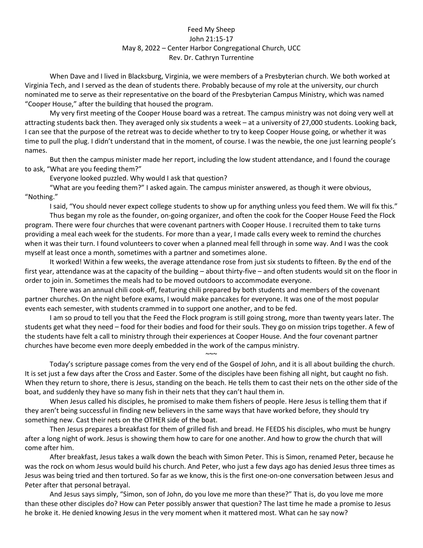## Feed My Sheep John 21:15-17 May 8, 2022 – Center Harbor Congregational Church, UCC Rev. Dr. Cathryn Turrentine

When Dave and I lived in Blacksburg, Virginia, we were members of a Presbyterian church. We both worked at Virginia Tech, and I served as the dean of students there. Probably because of my role at the university, our church nominated me to serve as their representative on the board of the Presbyterian Campus Ministry, which was named "Cooper House," after the building that housed the program.

My very first meeting of the Cooper House board was a retreat. The campus ministry was not doing very well at attracting students back then. They averaged only six students a week – at a university of 27,000 students. Looking back, I can see that the purpose of the retreat was to decide whether to try to keep Cooper House going, or whether it was time to pull the plug. I didn't understand that in the moment, of course. I was the newbie, the one just learning people's names.

But then the campus minister made her report, including the low student attendance, and I found the courage to ask, "What are you feeding them?"

Everyone looked puzzled. Why would I ask that question?

"What are you feeding them?" I asked again. The campus minister answered, as though it were obvious, "Nothing."

I said, "You should never expect college students to show up for anything unless you feed them. We will fix this." Thus began my role as the founder, on-going organizer, and often the cook for the Cooper House Feed the Flock program. There were four churches that were covenant partners with Cooper House. I recruited them to take turns providing a meal each week for the students. For more than a year, I made calls every week to remind the churches when it was their turn. I found volunteers to cover when a planned meal fell through in some way. And I was the cook myself at least once a month, sometimes with a partner and sometimes alone.

It worked! Within a few weeks, the average attendance rose from just six students to fifteen. By the end of the first year, attendance was at the capacity of the building – about thirty-five – and often students would sit on the floor in order to join in. Sometimes the meals had to be moved outdoors to accommodate everyone.

There was an annual chili cook-off, featuring chili prepared by both students and members of the covenant partner churches. On the night before exams, I would make pancakes for everyone. It was one of the most popular events each semester, with students crammed in to support one another, and to be fed.

I am so proud to tell you that the Feed the Flock program is still going strong, more than twenty years later. The students get what they need – food for their bodies and food for their souls. They go on mission trips together. A few of the students have felt a call to ministry through their experiences at Cooper House. And the four covenant partner churches have become even more deeply embedded in the work of the campus ministry.

 $\sim$   $\sim$ Today's scripture passage comes from the very end of the Gospel of John, and it is all about building the church. It is set just a few days after the Cross and Easter. Some of the disciples have been fishing all night, but caught no fish. When they return to shore, there is Jesus, standing on the beach. He tells them to cast their nets on the other side of the boat, and suddenly they have so many fish in their nets that they can't haul them in.

When Jesus called his disciples, he promised to make them fishers of people. Here Jesus is telling them that if they aren't being successful in finding new believers in the same ways that have worked before, they should try something new. Cast their nets on the OTHER side of the boat.

Then Jesus prepares a breakfast for them of grilled fish and bread. He FEEDS his disciples, who must be hungry after a long night of work. Jesus is showing them how to care for one another. And how to grow the church that will come after him.

After breakfast, Jesus takes a walk down the beach with Simon Peter. This is Simon, renamed Peter, because he was the rock on whom Jesus would build his church. And Peter, who just a few days ago has denied Jesus three times as Jesus was being tried and then tortured. So far as we know, this is the first one-on-one conversation between Jesus and Peter after that personal betrayal.

And Jesus says simply, "Simon, son of John, do you love me more than these?" That is, do you love me more than these other disciples do? How can Peter possibly answer that question? The last time he made a promise to Jesus he broke it. He denied knowing Jesus in the very moment when it mattered most. What can he say now?